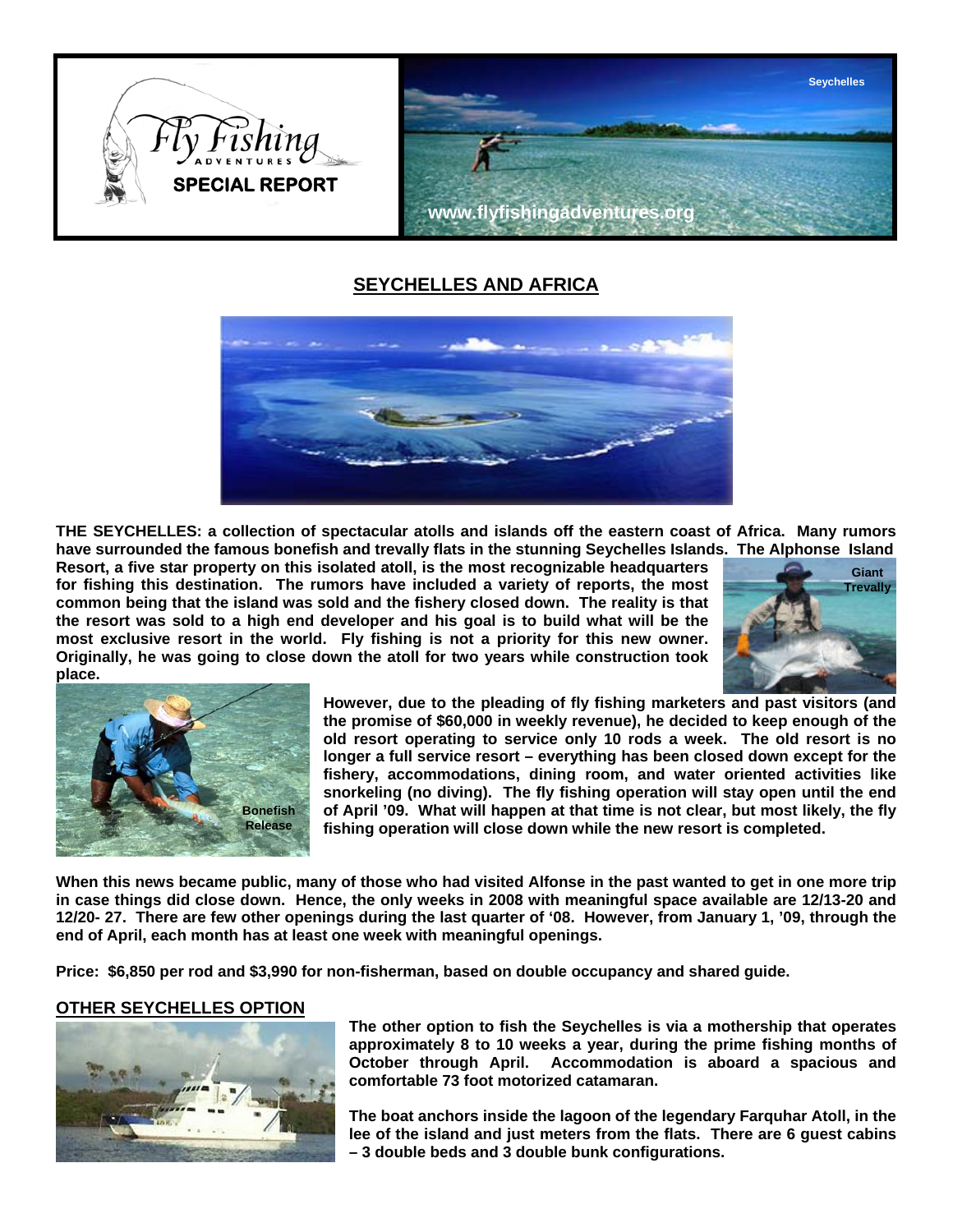

# **SEYCHELLES AND AFRICA**



**THE SEYCHELLES: a collection of spectacular atolls and islands off the eastern coast of Africa. Many rumors have surrounded the famous bonefish and trevally flats in the stunning Seychelles Islands. The Alphonse Island** 

**Resort, a five star property on this isolated atoll, is the most recognizable headquarters for fishing this destination. The rumors have included a variety of reports, the most common being that the island was sold and the fishery closed down. The reality is that the resort was sold to a high end developer and his goal is to build what will be the most exclusive resort in the world. Fly fishing is not a priority for this new owner. Originally, he was going to close down the atoll for two years while construction took place.** 





**However, due to the pleading of fly fishing marketers and past visitors (and the promise of \$60,000 in weekly revenue), he decided to keep enough of the old resort operating to service only 10 rods a week. The old resort is no longer a full service resort – everything has been closed down except for the fishery, accommodations, dining room, and water oriented activities like snorkeling (no diving). The fly fishing operation will stay open until the end of April '09. What will happen at that time is not clear, but most likely, the fly fishing operation will close down while the new resort is completed.** 

**When this news became public, many of those who had visited Alfonse in the past wanted to get in one more trip in case things did close down. Hence, the only weeks in 2008 with meaningful space available are 12/13-20 and 12/20- 27. There are few other openings during the last quarter of '08. However, from January 1, '09, through the end of April, each month has at least one week with meaningful openings.** 

**Price: \$6,850 per rod and \$3,990 for non-fisherman, based on double occupancy and shared guide.** 

## **OTHER SEYCHELLES OPTION**



**The other option to fish the Seychelles is via a mothership that operates approximately 8 to 10 weeks a year, during the prime fishing months of October through April. Accommodation is aboard a spacious and comfortable 73 foot motorized catamaran.** 

**The boat anchors inside the lagoon of the legendary Farquhar Atoll, in the lee of the island and just meters from the flats. There are 6 guest cabins – 3 double beds and 3 double bunk configurations.**